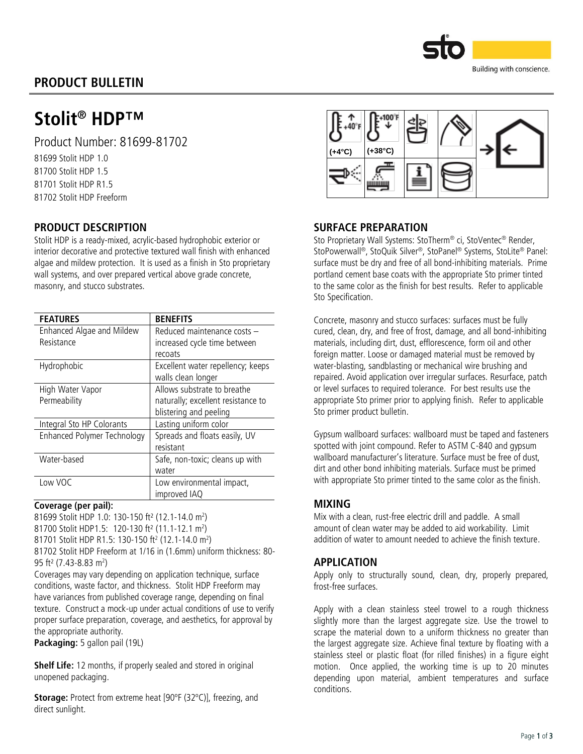

# PRODUCT BULLETIN

# Stolit<sup>®</sup> HDP™

Product Number: 81699-81702

81699 Stolit HDP 1.0 81700 Stolit HDP 1.5 81701 Stolit HDP R1.5 81702 Stolit HDP Freeform

## PRODUCT DESCRIPTION

Stolit HDP is a ready-mixed, acrylic-based hydrophobic exterior or interior decorative and protective textured wall finish with enhanced algae and mildew protection. It is used as a finish in Sto proprietary wall systems, and over prepared vertical above grade concrete, masonry, and stucco substrates.

| <b>FEATURES</b>             | <b>BENEFITS</b>                    |  |  |
|-----------------------------|------------------------------------|--|--|
| Enhanced Algae and Mildew   | Reduced maintenance costs -        |  |  |
| Resistance                  | increased cycle time between       |  |  |
|                             | recoats                            |  |  |
| Hydrophobic                 | Excellent water repellency; keeps  |  |  |
|                             | walls clean longer                 |  |  |
| High Water Vapor            | Allows substrate to breathe        |  |  |
| Permeability                | naturally; excellent resistance to |  |  |
|                             | blistering and peeling             |  |  |
| Integral Sto HP Colorants   | Lasting uniform color              |  |  |
| Enhanced Polymer Technology | Spreads and floats easily, UV      |  |  |
|                             | resistant                          |  |  |
| Water-based                 | Safe, non-toxic; cleans up with    |  |  |
|                             | water                              |  |  |
| Low VOC                     | Low environmental impact,          |  |  |
|                             | improved IAQ                       |  |  |

#### Coverage (per pail):

81699 Stolit HDP 1.0: 130-150 ft<sup>2</sup> (12.1-14.0 m<sup>2</sup>) 81700 Stolit HDP1.5: 120-130 ft² (11.1-12.1 m 2 ) 81701 Stolit HDP R1.5: 130-150 ft² (12.1-14.0 m²)

81702 Stolit HDP Freeform at 1/16 in (1.6mm) uniform thickness: 80- 95 ft² (7.43-8.83 m 2 )

Coverages may vary depending on application technique, surface conditions, waste factor, and thickness. Stolit HDP Freeform may have variances from published coverage range, depending on final texture. Construct a mock-up under actual conditions of use to verify proper surface preparation, coverage, and aesthetics, for approval by the appropriate authority.

Packaging: 5 gallon pail (19L)

Shelf Life: 12 months, if properly sealed and stored in original unopened packaging.

Storage: Protect from extreme heat [90°F (32°C)], freezing, and direct sunlight.



#### SURFACE PREPARATION

Sto Proprietary Wall Systems: StoTherm® ci, StoVentec® Render, StoPowerwall ®, StoQuik Silver ®, StoPanel® Systems, StoLite® Panel: surface must be dry and free of all bond-inhibiting materials. Prime portland cement base coats with the appropriate Sto primer tinted to the same color as the finish for best results. Refer to applicable Sto Specification.

Concrete, masonry and stucco surfaces: surfaces must be fully cured, clean, dry, and free of frost, damage, and all bond-inhibiting materials, including dirt, dust, efflorescence, form oil and other foreign matter. Loose or damaged material must be removed by water-blasting, sandblasting or mechanical wire brushing and repaired. Avoid application over irregular surfaces. Resurface, patch or level surfaces to required tolerance. For best results use the appropriate Sto primer prior to applying finish. Refer to applicable Sto primer product bulletin.

Gypsum wallboard surfaces: wallboard must be taped and fasteners spotted with joint compound. Refer to ASTM C-840 and gypsum wallboard manufacturer's literature. Surface must be free of dust, dirt and other bond inhibiting materials. Surface must be primed with appropriate Sto primer tinted to the same color as the finish.

#### MIXING

Mix with a clean, rust-free electric drill and paddle. A small amount of clean water may be added to aid workability. Limit addition of water to amount needed to achieve the finish texture.

#### APPLICATION

Apply only to structurally sound, clean, dry, properly prepared, frost-free surfaces.

Apply with a clean stainless steel trowel to a rough thickness slightly more than the largest aggregate size. Use the trowel to scrape the material down to a uniform thickness no greater than the largest aggregate size. Achieve final texture by floating with a stainless steel or plastic float (for rilled finishes) in a figure eight motion. Once applied, the working time is up to 20 minutes depending upon material, ambient temperatures and surface conditions.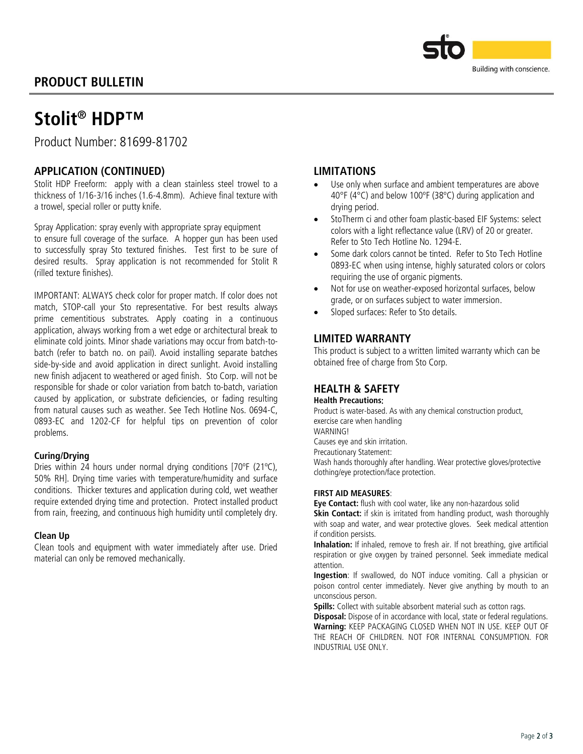# PRODUCT BULLETIN



# Stolit<sup>®</sup> HDP™

Product Number: 81699-81702

### APPLICATION (CONTINUED)

Stolit HDP Freeform: apply with a clean stainless steel trowel to a thickness of 1/16-3/16 inches (1.6-4.8mm). Achieve final texture with a trowel, special roller or putty knife.

Spray Application: spray evenly with appropriate spray equipment to ensure full coverage of the surface. A hopper gun has been used to successfully spray Sto textured finishes. Test first to be sure of desired results. Spray application is not recommended for Stolit R (rilled texture finishes).

IMPORTANT: ALWAYS check color for proper match. If color does not match, STOP-call your Sto representative. For best results always prime cementitious substrates. Apply coating in a continuous application, always working from a wet edge or architectural break to eliminate cold joints. Minor shade variations may occur from batch-tobatch (refer to batch no. on pail). Avoid installing separate batches side-by-side and avoid application in direct sunlight. Avoid installing new finish adjacent to weathered or aged finish. Sto Corp. will not be responsible for shade or color variation from batch to-batch, variation caused by application, or substrate deficiencies, or fading resulting from natural causes such as weather. See Tech Hotline Nos. 0694-C, 0893-EC and 1202-CF for helpful tips on prevention of color problems.

#### Curing/Drying

Dries within 24 hours under normal drying conditions [70ºF (21ºC), 50% RH]. Drying time varies with temperature/humidity and surface conditions. Thicker textures and application during cold, wet weather require extended drying time and protection. Protect installed product from rain, freezing, and continuous high humidity until completely dry.

#### Clean Up

Clean tools and equipment with water immediately after use. Dried material can only be removed mechanically.

### LIMITATIONS

- Use only when surface and ambient temperatures are above 40°F (4°C) and below 100ºF (38ºC) during application and drying period.
- StoTherm ci and other foam plastic-based EIF Systems: select colors with a light reflectance value (LRV) of 20 or greater. Refer to Sto Tech Hotline No. 1294-E.
- Some dark colors cannot be tinted. Refer to Sto Tech Hotline 0893-EC when using intense, highly saturated colors or colors requiring the use of organic pigments.
- Not for use on weather-exposed horizontal surfaces, below grade, or on surfaces subject to water immersion.
- Sloped surfaces: Refer to Sto details.

## LIMITED WARRANTY

This product is subject to a written limited warranty which can be obtained free of charge from Sto Corp.

### HEALTH & SAFETY

#### Health Precautions:

Product is water-based. As with any chemical construction product, exercise care when handling

WARNING!

Causes eye and skin irritation.

Precautionary Statement:

Wash hands thoroughly after handling. Wear protective gloves/protective clothing/eye protection/face protection.

#### FIRST AID MEASURES:

Eye Contact: flush with cool water, like any non-hazardous solid

Skin Contact: if skin is irritated from handling product, wash thoroughly with soap and water, and wear protective gloves. Seek medical attention if condition persists.

Inhalation: If inhaled, remove to fresh air. If not breathing, give artificial respiration or give oxygen by trained personnel. Seek immediate medical attention.

Ingestion: If swallowed, do NOT induce vomiting. Call a physician or poison control center immediately. Never give anything by mouth to an unconscious person.

Spills: Collect with suitable absorbent material such as cotton rags.

Disposal: Dispose of in accordance with local, state or federal regulations. Warning: KEEP PACKAGING CLOSED WHEN NOT IN USE. KEEP OUT OF THE REACH OF CHILDREN. NOT FOR INTERNAL CONSUMPTION. FOR INDUSTRIAL USE ONLY.